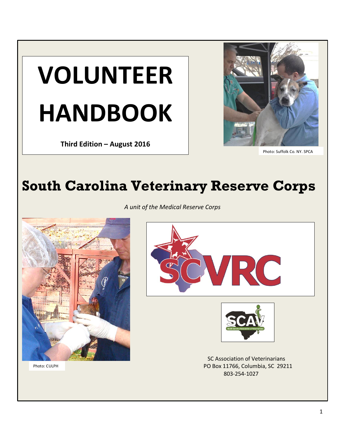

 **Third Edition – August 2016**



Photo: Suffolk Co, NY, SPCA

# **South Carolina Veterinary Reserve Corps**

*A unit of the Medical Reserve Corps*



Photo: CULPH





SC Association of Veterinarians PO Box 11766, Columbia, SC 29211 803-254-1027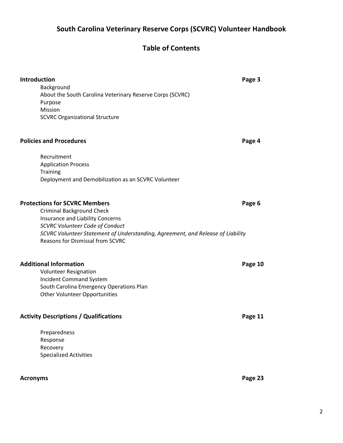# **South Carolina Veterinary Reserve Corps (SCVRC) Volunteer Handbook**

# **Table of Contents**

| Introduction<br>Background<br>About the South Carolina Veterinary Reserve Corps (SCVRC)<br>Purpose<br>Mission<br><b>SCVRC Organizational Structure</b>                                                                                                                               | Page 3  |
|--------------------------------------------------------------------------------------------------------------------------------------------------------------------------------------------------------------------------------------------------------------------------------------|---------|
| <b>Policies and Procedures</b>                                                                                                                                                                                                                                                       | Page 4  |
| Recruitment<br><b>Application Process</b><br><b>Training</b><br>Deployment and Demobilization as an SCVRC Volunteer                                                                                                                                                                  |         |
| <b>Protections for SCVRC Members</b><br><b>Criminal Background Check</b><br>Insurance and Liability Concerns<br><b>SCVRC Volunteer Code of Conduct</b><br>SCVRC Volunteer Statement of Understanding, Agreement, and Release of Liability<br><b>Reasons for Dismissal from SCVRC</b> | Page 6  |
| <b>Additional Information</b><br><b>Volunteer Resignation</b><br><b>Incident Command System</b><br>South Carolina Emergency Operations Plan<br><b>Other Volunteer Opportunities</b>                                                                                                  | Page 10 |
| <b>Activity Descriptions / Qualifications</b>                                                                                                                                                                                                                                        | Page 11 |
| Preparedness<br>Response<br>Recovery<br><b>Specialized Activities</b>                                                                                                                                                                                                                |         |
| <b>Acronyms</b>                                                                                                                                                                                                                                                                      | Page 23 |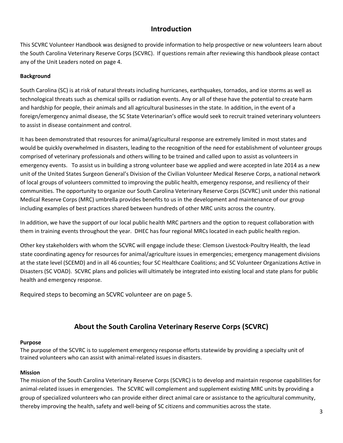### **Introduction**

This SCVRC Volunteer Handbook was designed to provide information to help prospective or new volunteers learn about the South Carolina Veterinary Reserve Corps (SCVRC). If questions remain after reviewing this handbook please contact any of the Unit Leaders noted on page 4.

#### **Background**

South Carolina (SC) is at risk of natural threats including hurricanes, earthquakes, tornados, and ice storms as well as technological threats such as chemical spills or radiation events. Any or all of these have the potential to create harm and hardship for people, their animals and all agricultural businesses in the state. In addition, in the event of a foreign/emergency animal disease, the SC State Veterinarian's office would seek to recruit trained veterinary volunteers to assist in disease containment and control.

It has been demonstrated that resources for animal/agricultural response are extremely limited in most states and would be quickly overwhelmed in disasters, leading to the recognition of the need for establishment of volunteer groups comprised of veterinary professionals and others willing to be trained and called upon to assist as volunteers in emergency events. To assist us in building a strong volunteer base we applied and were accepted in late 2014 as a new unit of the United States Surgeon General's Division of the Civilian Volunteer Medical Reserve Corps, a national network of local groups of volunteers committed to improving the public health, emergency response, and resiliency of their communities. The opportunity to organize our South Carolina Veterinary Reserve Corps (SCVRC) unit under this national Medical Reserve Corps (MRC) umbrella provides benefits to us in the development and maintenance of our group including examples of best practices shared between hundreds of other MRC units across the country.

In addition, we have the support of our local public health MRC partners and the option to request collaboration with them in training events throughout the year. DHEC has four regional MRCs located in each public health region.

Other key stakeholders with whom the SCVRC will engage include these: Clemson Livestock-Poultry Health, the lead state coordinating agency for resources for animal/agriculture issues in emergencies; emergency management divisions at the state level (SCEMD) and in all 46 counties; four SC Healthcare Coalitions; and SC Volunteer Organizations Active in Disasters (SC VOAD). SCVRC plans and policies will ultimately be integrated into existing local and state plans for public health and emergency response.

Required steps to becoming an SCVRC volunteer are on page 5.

### **About the South Carolina Veterinary Reserve Corps (SCVRC)**

#### **Purpose**

The purpose of the SCVRC is to supplement emergency response efforts statewide by providing a specialty unit of trained volunteers who can assist with animal-related issues in disasters.

#### **Mission**

The mission of the South Carolina Veterinary Reserve Corps (SCVRC) is to develop and maintain response capabilities for animal-related issues in emergencies. The SCVRC will complement and supplement existing MRC units by providing a group of specialized volunteers who can provide either direct animal care or assistance to the agricultural community, thereby improving the health, safety and well-being of SC citizens and communities across the state.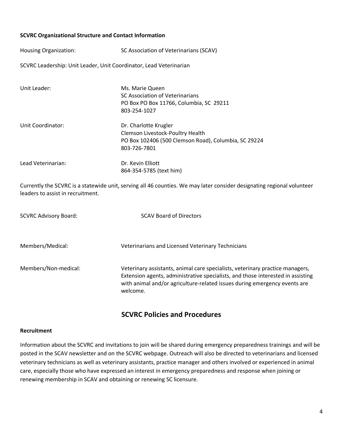#### **SCVRC Organizational Structure and Contact Information**

Housing Organization: SC Association of Veterinarians (SCAV)

SCVRC Leadership: Unit Leader, Unit Coordinator, Lead Veterinarian

| Unit Leader:       | Ms. Marie Queen<br>SC Association of Veterinarians<br>PO Box PO Box 11766, Columbia, SC 29211<br>803-254-1027                     |
|--------------------|-----------------------------------------------------------------------------------------------------------------------------------|
| Unit Coordinator:  | Dr. Charlotte Krugler<br>Clemson Livestock-Poultry Health<br>PO Box 102406 (500 Clemson Road), Columbia, SC 29224<br>803-726-7801 |
| Lead Veterinarian: | Dr. Kevin Elliott<br>864-354-5785 (text him)                                                                                      |

Currently the SCVRC is a statewide unit, serving all 46 counties. We may later consider designating regional volunteer leaders to assist in recruitment.

| <b>SCVRC Advisory Board:</b> | <b>SCAV Board of Directors</b>                                                                                                                                                                                                                            |
|------------------------------|-----------------------------------------------------------------------------------------------------------------------------------------------------------------------------------------------------------------------------------------------------------|
| Members/Medical:             | Veterinarians and Licensed Veterinary Technicians                                                                                                                                                                                                         |
| Members/Non-medical:         | Veterinary assistants, animal care specialists, veterinary practice managers,<br>Extension agents, administrative specialists, and those interested in assisting<br>with animal and/or agriculture-related issues during emergency events are<br>welcome. |

### **SCVRC Policies and Procedures**

#### **Recruitment**

Information about the SCVRC and invitations to join will be shared during emergency preparedness trainings and will be posted in the SCAV newsletter and on the SCVRC webpage. Outreach will also be directed to veterinarians and licensed veterinary technicians as well as veterinary assistants, practice manager and others involved or experienced in animal care, especially those who have expressed an interest in emergency preparedness and response when joining or renewing membership in SCAV and obtaining or renewing SC licensure.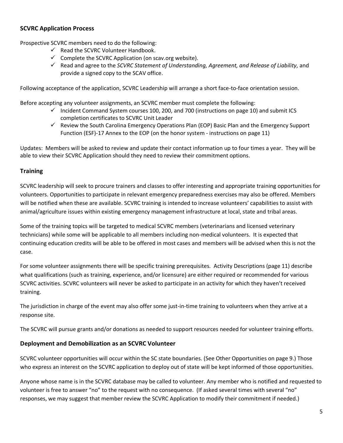#### **SCVRC Application Process**

Prospective SCVRC members need to do the following:

- $\checkmark$  Read the SCVRC Volunteer Handbook.
- $\checkmark$  Complete the SCVRC Application (on scav.org website).
- Read and agree to the *SCVRC Statement of Understanding, Agreement, and Release of Liability,* and provide a signed copy to the SCAV office.

Following acceptance of the application, SCVRC Leadership will arrange a short face-to-face orientation session.

Before accepting any volunteer assignments, an SCVRC member must complete the following:

- $\checkmark$  Incident Command System courses 100, 200, and 700 (instructions on page 10) and submit ICS completion certificates to SCVRC Unit Leader
- $\checkmark$  Review the South Carolina Emergency Operations Plan (EOP) Basic Plan and the Emergency Support Function (ESF)-17 Annex to the EOP (on the honor system - instructions on page 11)

Updates: Members will be asked to review and update their contact information up to four times a year. They will be able to view their SCVRC Application should they need to review their commitment options.

#### **Training**

SCVRC leadership will seek to procure trainers and classes to offer interesting and appropriate training opportunities for volunteers. Opportunities to participate in relevant emergency preparedness exercises may also be offered. Members will be notified when these are available. SCVRC training is intended to increase volunteers' capabilities to assist with animal/agriculture issues within existing emergency management infrastructure at local, state and tribal areas.

Some of the training topics will be targeted to medical SCVRC members (veterinarians and licensed veterinary technicians) while some will be applicable to all members including non-medical volunteers. It is expected that continuing education credits will be able to be offered in most cases and members will be advised when this is not the case.

For some volunteer assignments there will be specific training prerequisites. Activity Descriptions (page 11) describe what qualifications (such as training, experience, and/or licensure) are either required or recommended for various SCVRC activities. SCVRC volunteers will never be asked to participate in an activity for which they haven't received training.

The jurisdiction in charge of the event may also offer some just-in-time training to volunteers when they arrive at a response site.

The SCVRC will pursue grants and/or donations as needed to support resources needed for volunteer training efforts.

#### **Deployment and Demobilization as an SCVRC Volunteer**

SCVRC volunteer opportunities will occur within the SC state boundaries. (See Other Opportunities on page 9.) Those who express an interest on the SCVRC application to deploy out of state will be kept informed of those opportunities.

Anyone whose name is in the SCVRC database may be called to volunteer. Any member who is notified and requested to volunteer is free to answer "no" to the request with no consequence. (If asked several times with several "no" responses, we may suggest that member review the SCVRC Application to modify their commitment if needed.)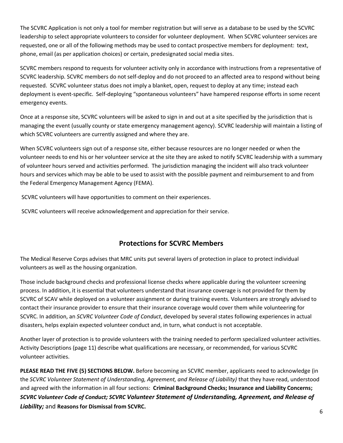The SCVRC Application is not only a tool for member registration but will serve as a database to be used by the SCVRC leadership to select appropriate volunteers to consider for volunteer deployment. When SCVRC volunteer services are requested, one or all of the following methods may be used to contact prospective members for deployment: text, phone, email (as per application choices) or certain, predesignated social media sites.

SCVRC members respond to requests for volunteer activity only in accordance with instructions from a representative of SCVRC leadership. SCVRC members do not self-deploy and do not proceed to an affected area to respond without being requested. SCVRC volunteer status does not imply a blanket, open, request to deploy at any time; instead each deployment is event-specific. Self-deploying "spontaneous volunteers" have hampered response efforts in some recent emergency events.

Once at a response site, SCVRC volunteers will be asked to sign in and out at a site specified by the jurisdiction that is managing the event (usually county or state emergency management agency). SCVRC leadership will maintain a listing of which SCVRC volunteers are currently assigned and where they are.

When SCVRC volunteers sign out of a response site, either because resources are no longer needed or when the volunteer needs to end his or her volunteer service at the site they are asked to notify SCVRC leadership with a summary of volunteer hours served and activities performed. The jurisdiction managing the incident will also track volunteer hours and services which may be able to be used to assist with the possible payment and reimbursement to and from the Federal Emergency Management Agency (FEMA).

SCVRC volunteers will have opportunities to comment on their experiences.

SCVRC volunteers will receive acknowledgement and appreciation for their service.

### **Protections for SCVRC Members**

The Medical Reserve Corps advises that MRC units put several layers of protection in place to protect individual volunteers as well as the housing organization.

Those include background checks and professional license checks where applicable during the volunteer screening process. In addition, it is essential that volunteers understand that insurance coverage is not provided for them by SCVRC of SCAV while deployed on a volunteer assignment or during training events. Volunteers are strongly advised to contact their insurance provider to ensure that their insurance coverage would cover them while volunteering for SCVRC. In addition, an *SCVRC Volunteer Code of Conduct*, developed by several states following experiences in actual disasters, helps explain expected volunteer conduct and, in turn, what conduct is not acceptable.

Another layer of protection is to provide volunteers with the training needed to perform specialized volunteer activities. Activity Descriptions (page 11) describe what qualifications are necessary, or recommended, for various SCVRC volunteer activities.

**PLEASE READ THE FIVE (5) SECTIONS BELOW.** Before becoming an SCVRC member, applicants need to acknowledge (in the *SCVRC Volunteer Statement of Understanding, Agreement, and Release of Liability)* that they have read, understood and agreed with the information in all four sections: **Criminal Background Checks; Insurance and Liability Concerns;**  *SCVRC Volunteer Code of Conduct; SCVRC Volunteer Statement of Understanding, Agreement, and Release of Liability;* and **Reasons for Dismissal from SCVRC.**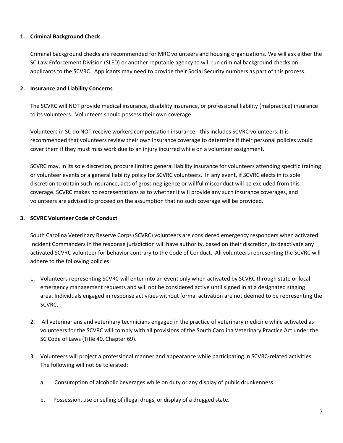#### **1. Criminal Background Check**

Criminal background checks are recommended for MRC volunteers and housing organizations. We will ask either the SC Law Enforcement Division (SLED) or another reputable agency to will run criminal background checks on applicants to the SCVRC. Applicants may need to provide their Social Security numbers as part of this process.

#### **2. Insurance and Liability Concerns**

The SCVRC will NOT provide medical insurance, disability insurance, or professional liability (malpractice) insurance to its volunteers. Volunteers should possess their own coverage.

Volunteers in SC do NOT receive workers compensation insurance - this includes SCVRC volunteers. It is recommended that volunteers review their own insurance coverage to determine if their personal policies would cover them if they must miss work due to an injury incurred while on a volunteer assignment.

SCVRC may, in its sole discretion, procure limited general liability insurance for volunteers attending specific training or volunteer events or a general liability policy for SCVRC volunteers. In any event, if SCVRC elects in its sole discretion to obtain such insurance, acts of gross negligence or willful misconduct will be excluded from this coverage. SCVRC makes no representations as to whether it will provide any such insurance coverages, and volunteers are advised to proceed on the assumption that no such coverage will be provided.

#### **3. SCVRC Volunteer Code of Conduct**

South Carolina Veterinary Reserve Corps (SCVRC) volunteers are considered emergency responders when activated. Incident Commanders in the response jurisdiction will have authority, based on their discretion, to deactivate any activated SCVRC volunteer for behavior contrary to the Code of Conduct. All volunteers representing the SCVRC will adhere to the following policies:

- 1. Volunteers representing SCVRC will enter into an event only when activated by SCVRC through state or local emergency management requests and will not be considered active until signed in at a designated staging area. Individuals engaged in response activities without formal activation are not deemed to be representing the SCVRC.
- 2. All veterinarians and veterinary technicians engaged in the practice of veterinary medicine while activated as volunteers for the SCVRC will comply with all provisions of the South Carolina Veterinary Practice Act under the SC Code of Laws (Title 40, Chapter 69).
- 3. Volunteers will project a professional manner and appearance while participating in SCVRC-related activities. The following will not be tolerated:
	- a. Consumption of alcoholic beverages while on duty or any display of public drunkenness.
	- b. Possession, use or selling of illegal drugs, or display of a drugged state.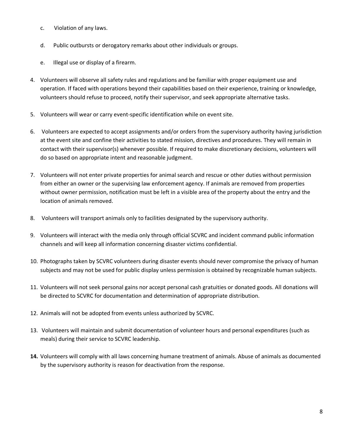- c. Violation of any laws.
- d. Public outbursts or derogatory remarks about other individuals or groups.
- e. Illegal use or display of a firearm.
- 4. Volunteers will observe all safety rules and regulations and be familiar with proper equipment use and operation. If faced with operations beyond their capabilities based on their experience, training or knowledge, volunteers should refuse to proceed, notify their supervisor, and seek appropriate alternative tasks.
- 5. Volunteers will wear or carry event-specific identification while on event site.
- 6. Volunteers are expected to accept assignments and/or orders from the supervisory authority having jurisdiction at the event site and confine their activities to stated mission, directives and procedures. They will remain in contact with their supervisor(s) whenever possible. If required to make discretionary decisions, volunteers will do so based on appropriate intent and reasonable judgment.
- 7. Volunteers will not enter private properties for animal search and rescue or other duties without permission from either an owner or the supervising law enforcement agency. If animals are removed from properties without owner permission, notification must be left in a visible area of the property about the entry and the location of animals removed.
- 8. Volunteers will transport animals only to facilities designated by the supervisory authority.
- 9. Volunteers will interact with the media only through official SCVRC and incident command public information channels and will keep all information concerning disaster victims confidential.
- 10. Photographs taken by SCVRC volunteers during disaster events should never compromise the privacy of human subjects and may not be used for public display unless permission is obtained by recognizable human subjects.
- 11. Volunteers will not seek personal gains nor accept personal cash gratuities or donated goods. All donations will be directed to SCVRC for documentation and determination of appropriate distribution.
- 12. Animals will not be adopted from events unless authorized by SCVRC.
- 13. Volunteers will maintain and submit documentation of volunteer hours and personal expenditures (such as meals) during their service to SCVRC leadership.
- **14.** Volunteers will comply with all laws concerning humane treatment of animals. Abuse of animals as documented by the supervisory authority is reason for deactivation from the response.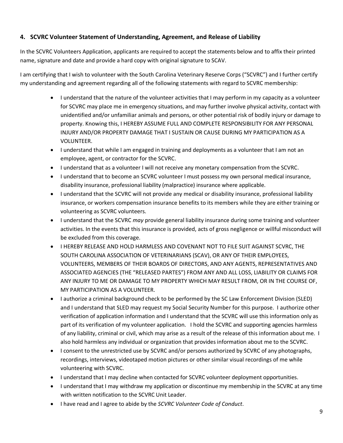#### **4. SCVRC Volunteer Statement of Understanding, Agreement, and Release of Liability**

In the SCVRC Volunteers Application, applicants are required to accept the statements below and to affix their printed name, signature and date and provide a hard copy with original signature to SCAV.

I am certifying that I wish to volunteer with the South Carolina Veterinary Reserve Corps ("SCVRC") and I further certify my understanding and agreement regarding all of the following statements with regard to SCVRC membership:

- I understand that the nature of the volunteer activities that I may perform in my capacity as a volunteer for SCVRC may place me in emergency situations, and may further involve physical activity, contact with unidentified and/or unfamiliar animals and persons, or other potential risk of bodily injury or damage to property. Knowing this, I HEREBY ASSUME FULL AND COMPLETE RESPONSIBILITY FOR ANY PERSONAL INJURY AND/OR PROPERTY DAMAGE THAT I SUSTAIN OR CAUSE DURING MY PARTICIPATION AS A VOLUNTEER.
- I understand that while I am engaged in training and deployments as a volunteer that I am not an employee, agent, or contractor for the SCVRC.
- $\bullet$  I understand that as a volunteer I will not receive any monetary compensation from the SCVRC.
- I understand that to become an SCVRC volunteer I must possess my own personal medical insurance, disability insurance, professional liability (malpractice) insurance where applicable.
- I understand that the SCVRC will not provide any medical or disability insurance, professional liability insurance, or workers compensation insurance benefits to its members while they are either training or volunteering as SCVRC volunteers.
- I understand that the SCVRC *may* provide general liability insurance during some training and volunteer activities. In the events that this insurance is provided, acts of gross negligence or willful misconduct will be excluded from this coverage.
- $\bullet$  I HEREBY RELEASE AND HOLD HARMLESS AND COVENANT NOT TO FILE SUIT AGAINST SCVRC, THE SOUTH CAROLINA ASSOCIATION OF VETERINARIANS (SCAV), OR ANY OF THEIR EMPLOYEES, VOLUNTEERS, MEMBERS OF THEIR BOARDS OF DIRECTORS, AND ANY AGENTS, REPRESENTATIVES AND ASSOCIATED AGENCIES (THE "RELEASED PARTES") FROM ANY AND ALL LOSS, LIABILITY OR CLAIMS FOR ANY INJURY TO ME OR DAMAGE TO MY PROPERTY WHICH MAY RESULT FROM, OR IN THE COURSE OF, MY PARTICIPATION AS A VOLUNTEER.
- I authorize a criminal background check to be performed by the SC Law Enforcement Division (SLED) and I understand that SLED may request my Social Security Number for this purpose. I authorize other verification of application information and I understand that the SCVRC will use this information only as part of its verification of my volunteer application. I hold the SCVRC and supporting agencies harmless of any liability, criminal or civil, which may arise as a result of the release of this information about me. I also hold harmless any individual or organization that provides information about me to the SCVRC.
- I consent to the unrestricted use by SCVRC and/or persons authorized by SCVRC of any photographs, recordings, interviews, videotaped motion pictures or other similar visual recordings of me while volunteering with SCVRC.
- I understand that I may decline when contacted for SCVRC volunteer deployment opportunities.
- I understand that I may withdraw my application or discontinue my membership in the SCVRC at any time with written notification to the SCVRC Unit Leader.
- I have read and I agree to abide by the *SCVRC Volunteer Code of Conduct*.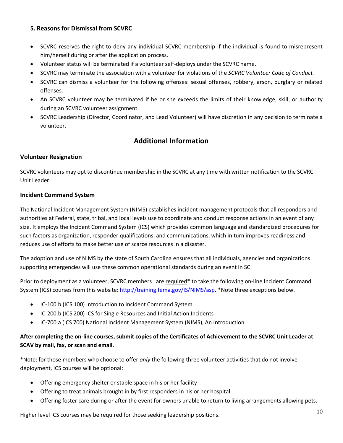#### **5. Reasons for Dismissal from SCVRC**

- SCVRC reserves the right to deny any individual SCVRC membership if the individual is found to misrepresent him/herself during or after the application process.
- Volunteer status will be terminated if a volunteer self-deploys under the SCVRC name.
- SCVRC may terminate the association with a volunteer for violations of the *SCVRC Volunteer Code of Conduct.*
- SCVRC can dismiss a volunteer for the following offenses: sexual offenses, robbery, arson, burglary or related offenses.
- An SCVRC volunteer may be terminated if he or she exceeds the limits of their knowledge, skill, or authority during an SCVRC volunteer assignment.
- SCVRC Leadership (Director, Coordinator, and Lead Volunteer) will have discretion in any decision to terminate a volunteer.

### **Additional Information**

#### **Volunteer Resignation**

SCVRC volunteers may opt to discontinue membership in the SCVRC at any time with written notification to the SCVRC Unit Leader.

#### **Incident Command System**

The National Incident Management System (NIMS) establishes incident management protocols that all responders and authorities at Federal, state, tribal, and local levels use to coordinate and conduct response actions in an event of any size. It employs the Incident Command System (ICS) which provides common language and standardized procedures for such factors as organization, responder qualifications, and communications, which in turn improves readiness and reduces use of efforts to make better use of scarce resources in a disaster.

The adoption and use of NIMS by the state of South Carolina ensures that all individuals, agencies and organizations supporting emergencies will use these common operational standards during an event in SC.

Prior to deployment as a volunteer, SCVRC members are required\* to take the following on-line Incident Command System (ICS) courses from this website: [http://training.fema.gov/IS/NIMS/asp.](http://training.fema.gov/IS/NIMS/asp) \*Note three exceptions below.

- IC-100.b (ICS 100) Introduction to Incident Command System
- IC-200.b (ICS 200) ICS for Single Resources and Initial Action Incidents
- IC-700.a (ICS 700) National Incident Management System (NIMS), An Introduction

#### **After completing the on-line courses, submit copies of the Certificates of Achievement to the SCVRC Unit Leader at SCAV by mail, fax, or scan and email.**

\*Note: for those members who choose to offer *only* the following three volunteer activities that do not involve deployment, ICS courses will be optional:

- Offering emergency shelter or stable space in his or her facility
- Offering to treat animals brought in by first responders in his or her hospital
- Offering foster care during or after the event for owners unable to return to living arrangements allowing pets.

Higher level ICS courses may be required for those seeking leadership positions.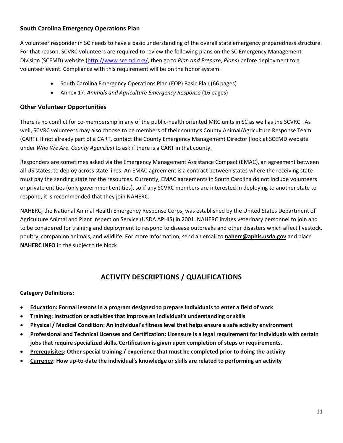#### **South Carolina Emergency Operations Plan**

A volunteer responder in SC needs to have a basic understanding of the overall state emergency preparedness structure. For that reason, SCVRC volunteers are required to review the following plans on the SC Emergency Management Division (SCEMD) website [\(http://www.scemd.org/,](http://www.scemd.org/) then go to *Plan and Prepare*, *Plans*) before deployment to a volunteer event. Compliance with this requirement will be on the honor system.

- South Carolina Emergency Operations Plan (EOP) Basic Plan (66 pages)
- Annex 17: *Animals and Agriculture Emergency Response* (16 pages)

#### **Other Volunteer Opportunities**

There is no conflict for co-membership in any of the public-health oriented MRC units in SC as well as the SCVRC. As well, SCVRC volunteers may also choose to be members of their county's County Animal/Agriculture Response Team (CART). If not already part of a CART, contact the County Emergency Management Director (look at SCEMD website under *Who We Are, County Agencies*) to ask if there is a CART in that county.

Responders are sometimes asked via the Emergency Management Assistance Compact (EMAC), an agreement between all US states, to deploy across state lines. An EMAC agreement is a contract between states where the receiving state must pay the sending state for the resources. Currently, EMAC agreements in South Carolina do not include volunteers or private entities (only government entities), so if any SCVRC members are interested in deploying to another state to respond, it is recommended that they join NAHERC.

NAHERC, the National Animal Health Emergency Response Corps, was established by the United States Department of Agriculture Animal and Plant Inspection Service (USDA APHIS) in 2001. NAHERC invites veterinary personnel to join and to be considered for training and deployment to respond to disease outbreaks and other disasters which affect livestock, poultry, companion animals, and wildlife. For more information, send an email to **[naherc@aphis.usda.gov](mailto:naherc@aphis.usda.gov)** and place **NAHERC INFO** in the subject title block.

### **ACTIVITY DESCRIPTIONS / QUALIFICATIONS**

#### **Category Definitions:**

- **Education: Formal lessons in a program designed to prepare individuals to enter a field of work**
- **Training: Instruction or activities that improve an individual's understanding or skills**
- **Physical / Medical Condition: An individual's fitness level that helps ensure a safe activity environment**
- **Professional and Technical Licenses and Certification: Licensure is a legal requirement for individuals with certain jobs that require specialized skills. Certification is given upon completion of steps or requirements.**
- **Prerequisites: Other special training / experience that must be completed prior to doing the activity**
- **Currency: How up-to-date the individual's knowledge or skills are related to performing an activity**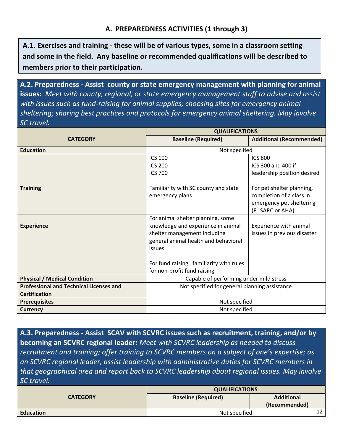**A.1. Exercises and training - these will be of various types, some in a classroom setting and some in the field. Any baseline or recommended qualifications will be described to members prior to their participation.**

**A.2. Preparedness - Assist county or state emergency management with planning for animal issues:** *Meet with county, regional, or state emergency management staff to advise and assist with issues such as fund-raising for animal supplies; choosing sites for emergency animal sheltering; sharing best practices and protocols for emergency animal sheltering. May involve SC travel.*

|                                                | <b>QUALIFICATIONS</b>                                                                                                                                                                                 |                                                                                                       |
|------------------------------------------------|-------------------------------------------------------------------------------------------------------------------------------------------------------------------------------------------------------|-------------------------------------------------------------------------------------------------------|
| <b>CATEGORY</b>                                | <b>Baseline (Required)</b>                                                                                                                                                                            | <b>Additional (Recommended)</b>                                                                       |
| <b>Education</b>                               | Not specified                                                                                                                                                                                         |                                                                                                       |
|                                                | <b>ICS 100</b>                                                                                                                                                                                        | <b>ICS 800</b>                                                                                        |
|                                                | <b>ICS 200</b>                                                                                                                                                                                        | ICS 300 and 400 if                                                                                    |
|                                                | <b>ICS 700</b>                                                                                                                                                                                        | leadership position desired                                                                           |
| <b>Training</b>                                | Familiarity with SC county and state<br>emergency plans                                                                                                                                               | For pet shelter planning,<br>completion of a class in<br>emergency pet sheltering<br>(FL SARC or AHA) |
| <b>Experience</b>                              | For animal shelter planning, some<br>knowledge and experience in animal<br>shelter management including<br>general animal health and behavioral<br>issues<br>For fund raising, familiarity with rules | Experience with animal<br>issues in previous disaster                                                 |
|                                                | for non-profit fund raising                                                                                                                                                                           |                                                                                                       |
| <b>Physical / Medical Condition</b>            | Capable of performing under mild stress                                                                                                                                                               |                                                                                                       |
| <b>Professional and Technical Licenses and</b> | Not specified for general planning assistance                                                                                                                                                         |                                                                                                       |
| <b>Certification</b>                           |                                                                                                                                                                                                       |                                                                                                       |
| <b>Prerequisites</b>                           | Not specified                                                                                                                                                                                         |                                                                                                       |
| <b>Currency</b>                                | Not specified                                                                                                                                                                                         |                                                                                                       |

**A.3. Preparedness - Assist SCAV with SCVRC issues such as recruitment, training, and/or by becoming an SCVRC regional leader:** *Meet with SCVRC leadership as needed to discuss recruitment and training; offer training to SCVRC members on a subject of one's expertise; as an SCVRC regional leader, assist leadership with administrative duties for SCVRC members in that geographical area and report back to SCVRC leadership about regional issues. May involve SC travel.*

|                  | <b>QUALIFICATIONS</b>      |                   |  |
|------------------|----------------------------|-------------------|--|
| <b>CATEGORY</b>  | <b>Baseline (Required)</b> | <b>Additional</b> |  |
|                  |                            | (Recommended)     |  |
| <b>Education</b> | Not specified              |                   |  |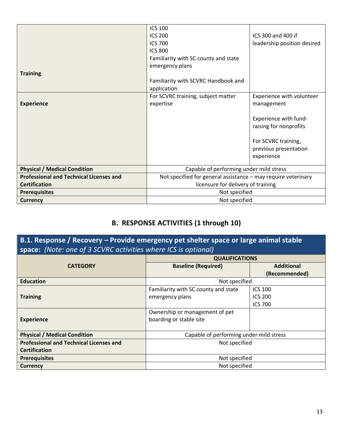|                                                | <b>ICS 100</b>                                                |                             |
|------------------------------------------------|---------------------------------------------------------------|-----------------------------|
|                                                | <b>ICS 200</b>                                                | ICS 300 and 400 if          |
|                                                | <b>ICS 700</b>                                                | leadership position desired |
|                                                | <b>ICS 800</b>                                                |                             |
|                                                | Familiarity with SC county and state                          |                             |
|                                                | emergency plans                                               |                             |
| <b>Training</b>                                |                                                               |                             |
|                                                | Familiarity with SCVRC Handbook and                           |                             |
|                                                | application                                                   |                             |
|                                                | For SCVRC training, subject matter                            | Experience with volunteer   |
| <b>Experience</b>                              | expertise                                                     | management                  |
|                                                |                                                               |                             |
|                                                |                                                               | Experience with fund-       |
|                                                |                                                               | raising for nonprofits      |
|                                                |                                                               |                             |
|                                                |                                                               | For SCVRC training,         |
|                                                |                                                               | previous presentation       |
|                                                |                                                               | experience                  |
| <b>Physical / Medical Condition</b>            | Capable of performing under mild stress                       |                             |
| <b>Professional and Technical Licenses and</b> | Not specified for general assistance - may require veterinary |                             |
| <b>Certification</b>                           | licensure for delivery of training                            |                             |
| <b>Prerequisites</b>                           | Not specified                                                 |                             |
| <b>Currency</b>                                | Not specified                                                 |                             |

# **B. RESPONSE ACTIVITIES (1 through 10)**

**B.1. Response / Recovery – Provide emergency pet shelter space or large animal stable space:** *(Note: one of 3 SCVRC activities where ICS is optional)*

|                                                | <b>QUALIFICATIONS</b>                   |                   |
|------------------------------------------------|-----------------------------------------|-------------------|
| <b>CATEGORY</b>                                | <b>Baseline (Required)</b>              | <b>Additional</b> |
|                                                |                                         | (Recommended)     |
| <b>Education</b>                               | Not specified                           |                   |
|                                                | Familiarity with SC county and state    | <b>ICS 100</b>    |
| <b>Training</b>                                | emergency plans                         | <b>ICS 200</b>    |
|                                                |                                         | <b>ICS 700</b>    |
|                                                | Ownership or management of pet          |                   |
| <b>Experience</b>                              | boarding or stable site                 |                   |
|                                                |                                         |                   |
| <b>Physical / Medical Condition</b>            | Capable of performing under mild stress |                   |
| <b>Professional and Technical Licenses and</b> | Not specified                           |                   |
| <b>Certification</b>                           |                                         |                   |
| <b>Prerequisites</b>                           | Not specified                           |                   |
| <b>Currency</b>                                | Not specified                           |                   |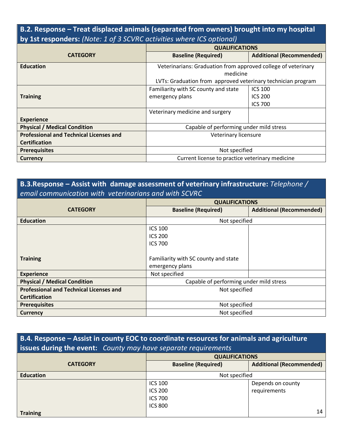# **B.2. Response – Treat displaced animals (separated from owners) brought into my hospital by 1st responders:** *(Note: 1 of 3 SCVRC activities where ICS optional)*

|                                                | <b>QUALIFICATIONS</b>                                         |                                 |
|------------------------------------------------|---------------------------------------------------------------|---------------------------------|
| <b>CATEGORY</b>                                | <b>Baseline (Required)</b>                                    | <b>Additional (Recommended)</b> |
| <b>Education</b>                               | Veterinarians: Graduation from approved college of veterinary |                                 |
|                                                | medicine                                                      |                                 |
|                                                | LVTs: Graduation from approved veterinary technician program  |                                 |
|                                                | Familiarity with SC county and state                          | <b>ICS 100</b>                  |
| <b>Training</b>                                | emergency plans                                               | <b>ICS 200</b>                  |
|                                                |                                                               | <b>ICS 700</b>                  |
|                                                | Veterinary medicine and surgery                               |                                 |
| <b>Experience</b>                              |                                                               |                                 |
| <b>Physical / Medical Condition</b>            | Capable of performing under mild stress                       |                                 |
| <b>Professional and Technical Licenses and</b> | Veterinary licensure                                          |                                 |
| <b>Certification</b>                           |                                                               |                                 |
| <b>Prerequisites</b>                           | Not specified                                                 |                                 |
| <b>Currency</b>                                | Current license to practice veterinary medicine               |                                 |

# **B.3.Response – Assist with damage assessment of veterinary infrastructure:** *Telephone / email communication with veterinarians and with SCVRC*

|                                                | <b>QUALIFICATIONS</b>                   |                                 |
|------------------------------------------------|-----------------------------------------|---------------------------------|
| <b>CATEGORY</b>                                | <b>Baseline (Required)</b>              | <b>Additional (Recommended)</b> |
| <b>Education</b>                               | Not specified                           |                                 |
|                                                | <b>ICS 100</b>                          |                                 |
|                                                | <b>ICS 200</b>                          |                                 |
|                                                | <b>ICS 700</b>                          |                                 |
|                                                |                                         |                                 |
| <b>Training</b>                                | Familiarity with SC county and state    |                                 |
|                                                | emergency plans                         |                                 |
| <b>Experience</b>                              | Not specified                           |                                 |
| <b>Physical / Medical Condition</b>            | Capable of performing under mild stress |                                 |
| <b>Professional and Technical Licenses and</b> | Not specified                           |                                 |
| <b>Certification</b>                           |                                         |                                 |
| <b>Prerequisites</b>                           | Not specified                           |                                 |
| <b>Currency</b>                                | Not specified                           |                                 |

# **B.4. Response – Assist in county EOC to coordinate resources for animals and agriculture issues during the event:** *County may have separate requirements*

|                  | <b>QUALIFICATIONS</b>      |                                 |
|------------------|----------------------------|---------------------------------|
| <b>CATEGORY</b>  | <b>Baseline (Required)</b> | <b>Additional (Recommended)</b> |
| <b>Education</b> | Not specified              |                                 |
|                  | <b>ICS 100</b>             | Depends on county               |
|                  | <b>ICS 200</b>             | requirements                    |
|                  | <b>ICS 700</b>             |                                 |
|                  | <b>ICS 800</b>             |                                 |
| <b>Training</b>  |                            | 14                              |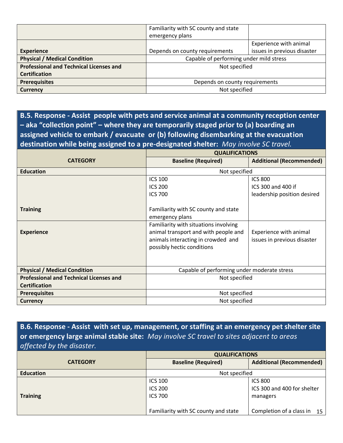|                                                | Familiarity with SC county and state    |                             |
|------------------------------------------------|-----------------------------------------|-----------------------------|
|                                                | emergency plans                         |                             |
|                                                |                                         | Experience with animal      |
| <b>Experience</b>                              | Depends on county requirements          | issues in previous disaster |
| <b>Physical / Medical Condition</b>            | Capable of performing under mild stress |                             |
| <b>Professional and Technical Licenses and</b> | Not specified                           |                             |
| <b>Certification</b>                           |                                         |                             |
| <b>Prerequisites</b>                           | Depends on county requirements          |                             |
| <b>Currency</b>                                | Not specified                           |                             |

**B.5. Response - Assist people with pets and service animal at a community reception center – aka "collection point" – where they are temporarily staged prior to (a) boarding an assigned vehicle to embark / evacuate or (b) following disembarking at the evacuation destination while being assigned to a pre-designated shelter:** *May involve SC travel.*

|                                                | <b>QUALIFICATIONS</b>                       |                                 |
|------------------------------------------------|---------------------------------------------|---------------------------------|
| <b>CATEGORY</b>                                | <b>Baseline (Required)</b>                  | <b>Additional (Recommended)</b> |
| <b>Education</b>                               | Not specified                               |                                 |
|                                                | <b>ICS 100</b>                              | <b>ICS 800</b>                  |
|                                                | <b>ICS 200</b>                              | ICS 300 and 400 if              |
|                                                | <b>ICS 700</b>                              | leadership position desired     |
|                                                |                                             |                                 |
| <b>Training</b>                                | Familiarity with SC county and state        |                                 |
|                                                | emergency plans                             |                                 |
|                                                | Familiarity with situations involving       |                                 |
| <b>Experience</b>                              | animal transport and with people and        | Experience with animal          |
|                                                | animals interacting in crowded and          | issues in previous disaster     |
|                                                | possibly hectic conditions                  |                                 |
|                                                |                                             |                                 |
|                                                |                                             |                                 |
| <b>Physical / Medical Condition</b>            | Capable of performing under moderate stress |                                 |
| <b>Professional and Technical Licenses and</b> | Not specified                               |                                 |
| <b>Certification</b>                           |                                             |                                 |
| <b>Prerequisites</b>                           | Not specified                               |                                 |
| <b>Currency</b>                                | Not specified                               |                                 |

**B.6. Response - Assist with set up, management, or staffing at an emergency pet shelter site or emergency large animal stable site:** *May involve SC travel to sites adjacent to areas affected by the disaster.* 

|                  | <b>QUALIFICATIONS</b>                |                                 |
|------------------|--------------------------------------|---------------------------------|
| <b>CATEGORY</b>  | <b>Baseline (Required)</b>           | <b>Additional (Recommended)</b> |
| <b>Education</b> | Not specified                        |                                 |
|                  | <b>ICS 100</b>                       | <b>ICS 800</b>                  |
|                  | <b>ICS 200</b>                       | ICS 300 and 400 for shelter     |
| <b>Training</b>  | <b>ICS 700</b>                       | managers                        |
|                  |                                      |                                 |
|                  | Familiarity with SC county and state | Completion of a class in 15     |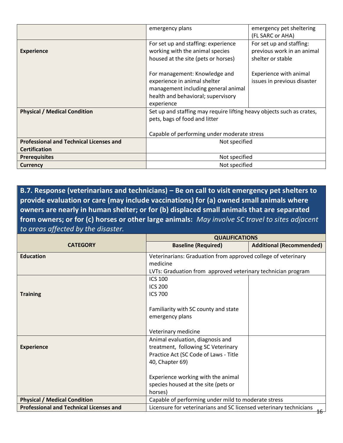|                                                | emergency plans                                                       | emergency pet sheltering    |
|------------------------------------------------|-----------------------------------------------------------------------|-----------------------------|
|                                                |                                                                       | (FL SARC or AHA)            |
|                                                | For set up and staffing: experience                                   | For set up and staffing:    |
| <b>Experience</b>                              | working with the animal species                                       | previous work in an animal  |
|                                                | housed at the site (pets or horses)                                   | shelter or stable           |
|                                                | For management: Knowledge and                                         | Experience with animal      |
|                                                | experience in animal shelter                                          | issues in previous disaster |
|                                                | management including general animal                                   |                             |
|                                                | health and behavioral; supervisory                                    |                             |
|                                                | experience                                                            |                             |
| <b>Physical / Medical Condition</b>            | Set up and staffing may require lifting heavy objects such as crates, |                             |
|                                                | pets, bags of food and litter                                         |                             |
|                                                |                                                                       |                             |
|                                                | Capable of performing under moderate stress                           |                             |
| <b>Professional and Technical Licenses and</b> | Not specified                                                         |                             |
| <b>Certification</b>                           |                                                                       |                             |
| <b>Prerequisites</b>                           | Not specified                                                         |                             |
| <b>Currency</b>                                | Not specified                                                         |                             |

**B.7. Response (veterinarians and technicians) – Be on call to visit emergency pet shelters to provide evaluation or care (may include vaccinations) for (a) owned small animals where owners are nearly in human shelter; or for (b) displaced small animals that are separated from owners; or for (c) horses or other large animals:** *May involve SC travel to sites adjacent to areas affected by the disaster.*  **QUALIFICATIONS**

|                                                | <b>QUALIFICATIONS</b>                                                    |                                 |
|------------------------------------------------|--------------------------------------------------------------------------|---------------------------------|
| <b>CATEGORY</b>                                | <b>Baseline (Required)</b>                                               | <b>Additional (Recommended)</b> |
| <b>Education</b>                               | Veterinarians: Graduation from approved college of veterinary            |                                 |
|                                                | medicine                                                                 |                                 |
|                                                | LVTs: Graduation from approved veterinary technician program             |                                 |
|                                                | <b>ICS 100</b>                                                           |                                 |
|                                                | <b>ICS 200</b>                                                           |                                 |
| <b>Training</b>                                | <b>ICS 700</b>                                                           |                                 |
|                                                |                                                                          |                                 |
|                                                | Familiarity with SC county and state                                     |                                 |
|                                                | emergency plans                                                          |                                 |
|                                                |                                                                          |                                 |
|                                                | Veterinary medicine                                                      |                                 |
|                                                | Animal evaluation, diagnosis and                                         |                                 |
| <b>Experience</b>                              | treatment, following SC Veterinary                                       |                                 |
|                                                | Practice Act (SC Code of Laws - Title                                    |                                 |
|                                                | 40, Chapter 69)                                                          |                                 |
|                                                |                                                                          |                                 |
|                                                | Experience working with the animal                                       |                                 |
|                                                | species housed at the site (pets or                                      |                                 |
|                                                | horses)                                                                  |                                 |
| <b>Physical / Medical Condition</b>            | Capable of performing under mild to moderate stress                      |                                 |
| <b>Professional and Technical Licenses and</b> | Licensure for veterinarians and SC licensed veterinary technicians<br>16 |                                 |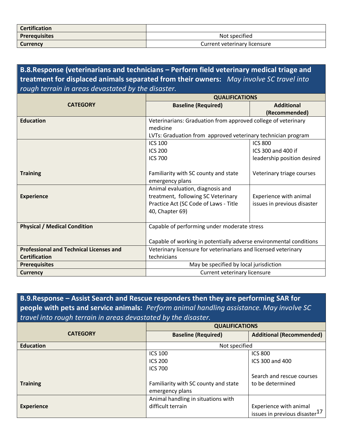| <b>Certification</b> |                              |
|----------------------|------------------------------|
| Prerequisites        | Not specified                |
| <b>Currency</b>      | Current veterinary licensure |

**B.8.Response (veterinarians and technicians – Perform field veterinary medical triage and treatment for displaced animals separated from their owners:** *May involve SC travel into rough terrain in areas devastated by the disaster.*

|                                                | <b>QUALIFICATIONS</b>                                              |                             |
|------------------------------------------------|--------------------------------------------------------------------|-----------------------------|
| <b>CATEGORY</b>                                | <b>Baseline (Required)</b>                                         | <b>Additional</b>           |
|                                                |                                                                    | (Recommended)               |
| <b>Education</b>                               | Veterinarians: Graduation from approved college of veterinary      |                             |
|                                                | medicine                                                           |                             |
|                                                | LVTs: Graduation from approved veterinary technician program       |                             |
|                                                | <b>ICS 100</b>                                                     | <b>ICS 800</b>              |
|                                                | <b>ICS 200</b>                                                     | ICS 300 and 400 if          |
|                                                | <b>ICS 700</b>                                                     | leadership position desired |
|                                                |                                                                    |                             |
| <b>Training</b>                                | Familiarity with SC county and state                               | Veterinary triage courses   |
|                                                | emergency plans                                                    |                             |
|                                                | Animal evaluation, diagnosis and                                   |                             |
| <b>Experience</b>                              | treatment, following SC Veterinary                                 | Experience with animal      |
|                                                | Practice Act (SC Code of Laws - Title                              | issues in previous disaster |
|                                                | 40, Chapter 69)                                                    |                             |
|                                                |                                                                    |                             |
| <b>Physical / Medical Condition</b>            | Capable of performing under moderate stress                        |                             |
|                                                |                                                                    |                             |
|                                                | Capable of working in potentially adverse environmental conditions |                             |
| <b>Professional and Technical Licenses and</b> | Veterinary licensure for veterinarians and licensed veterinary     |                             |
| <b>Certification</b>                           | technicians                                                        |                             |
| <b>Prerequisites</b>                           | May be specified by local jurisdiction                             |                             |
| <b>Currency</b>                                | Current veterinary licensure                                       |                             |

**B.9.Response – Assist Search and Rescue responders then they are performing SAR for people with pets and service animals:** *Perform animal handling assistance. May involve SC travel into rough terrain in areas devastated by the disaster.*

|                   | <b>QUALIFICATIONS</b>                |                                           |
|-------------------|--------------------------------------|-------------------------------------------|
| <b>CATEGORY</b>   | <b>Baseline (Required)</b>           | <b>Additional (Recommended)</b>           |
| <b>Education</b>  | Not specified                        |                                           |
|                   | <b>ICS 100</b>                       | <b>ICS 800</b>                            |
|                   | <b>ICS 200</b>                       | ICS 300 and 400                           |
|                   | <b>ICS 700</b>                       |                                           |
|                   |                                      | Search and rescue courses                 |
| <b>Training</b>   | Familiarity with SC county and state | to be determined                          |
|                   | emergency plans                      |                                           |
|                   | Animal handling in situations with   |                                           |
| <b>Experience</b> | difficult terrain                    | Experience with animal                    |
|                   |                                      | issues in previous disaster <sup>17</sup> |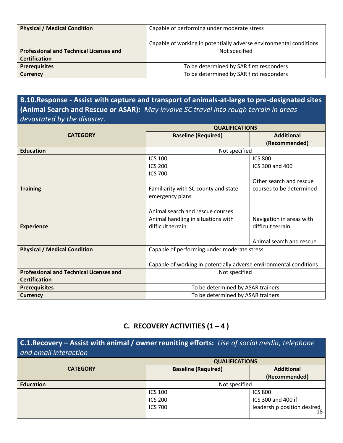| <b>Physical / Medical Condition</b>            | Capable of performing under moderate stress                        |  |
|------------------------------------------------|--------------------------------------------------------------------|--|
|                                                | Capable of working in potentially adverse environmental conditions |  |
| <b>Professional and Technical Licenses and</b> | Not specified                                                      |  |
| <b>Certification</b>                           |                                                                    |  |
| <b>Prerequisites</b>                           | To be determined by SAR first responders                           |  |
| <b>Currency</b>                                | To be determined by SAR first responders                           |  |

**B.10.Response - Assist with capture and transport of animals-at-large to pre-designated sites (Animal Search and Rescue or ASAR):** *May involve SC travel into rough terrain in areas devastated by the disaster.*

|                                                | <b>QUALIFICATIONS</b>                                              |                          |
|------------------------------------------------|--------------------------------------------------------------------|--------------------------|
| <b>CATEGORY</b>                                | <b>Baseline (Required)</b>                                         | <b>Additional</b>        |
|                                                |                                                                    | (Recommended)            |
| <b>Education</b>                               | Not specified                                                      |                          |
|                                                | <b>ICS 100</b>                                                     | <b>ICS 800</b>           |
|                                                | <b>ICS 200</b>                                                     | ICS 300 and 400          |
|                                                | <b>ICS 700</b>                                                     |                          |
|                                                |                                                                    | Other search and rescue  |
| <b>Training</b>                                | Familiarity with SC county and state                               | courses to be determined |
|                                                | emergency plans                                                    |                          |
|                                                |                                                                    |                          |
|                                                | Animal search and rescue courses                                   |                          |
|                                                | Animal handling in situations with                                 | Navigation in areas with |
| <b>Experience</b>                              | difficult terrain                                                  | difficult terrain        |
|                                                |                                                                    |                          |
|                                                |                                                                    | Animal search and rescue |
| <b>Physical / Medical Condition</b>            | Capable of performing under moderate stress                        |                          |
|                                                |                                                                    |                          |
|                                                | Capable of working in potentially adverse environmental conditions |                          |
| <b>Professional and Technical Licenses and</b> | Not specified                                                      |                          |
| <b>Certification</b>                           |                                                                    |                          |
| <b>Prerequisites</b>                           | To be determined by ASAR trainers                                  |                          |
| <b>Currency</b>                                | To be determined by ASAR trainers                                  |                          |

### **C.** RECOVERY ACTIVITIES  $(1 - 4)$

**C.1.Recovery – Assist with animal / owner reuniting efforts:** *Use of social media, telephone and email interaction*

|                  | <b>QUALIFICATIONS</b>      |                                                  |
|------------------|----------------------------|--------------------------------------------------|
| <b>CATEGORY</b>  | <b>Baseline (Required)</b> | <b>Additional</b>                                |
|                  |                            | (Recommended)                                    |
| <b>Education</b> | Not specified              |                                                  |
|                  | <b>ICS 100</b>             | <b>ICS 800</b>                                   |
|                  | <b>ICS 200</b>             | ICS 300 and 400 if                               |
|                  | <b>ICS 700</b>             | $\frac{33333}{1}$ leadership position desired 18 |
|                  |                            |                                                  |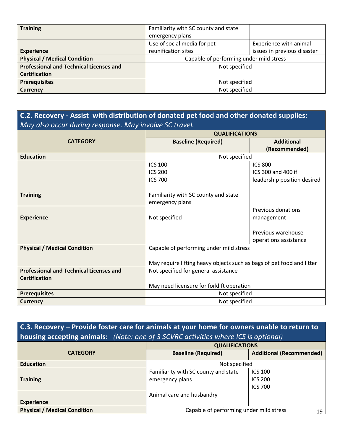| <b>Training</b>                                | Familiarity with SC county and state    |                             |
|------------------------------------------------|-----------------------------------------|-----------------------------|
|                                                | emergency plans                         |                             |
|                                                | Use of social media for pet             | Experience with animal      |
| <b>Experience</b>                              | reunification sites                     | issues in previous disaster |
| <b>Physical / Medical Condition</b>            | Capable of performing under mild stress |                             |
| <b>Professional and Technical Licenses and</b> | Not specified                           |                             |
| <b>Certification</b>                           |                                         |                             |
| <b>Prerequisites</b>                           | Not specified                           |                             |
| <b>Currency</b>                                | Not specified                           |                             |

# **C.2. Recovery - Assist with distribution of donated pet food and other donated supplies:**  *May also occur during response. May involve SC travel.*

|                                                | <b>QUALIFICATIONS</b>                                                 |                             |
|------------------------------------------------|-----------------------------------------------------------------------|-----------------------------|
| <b>CATEGORY</b>                                | <b>Baseline (Required)</b>                                            | <b>Additional</b>           |
|                                                |                                                                       | (Recommended)               |
| <b>Education</b>                               | Not specified                                                         |                             |
|                                                | <b>ICS 100</b>                                                        | <b>ICS 800</b>              |
|                                                | <b>ICS 200</b>                                                        | ICS 300 and 400 if          |
|                                                | <b>ICS 700</b>                                                        | leadership position desired |
|                                                |                                                                       |                             |
| <b>Training</b>                                | Familiarity with SC county and state                                  |                             |
|                                                | emergency plans                                                       |                             |
|                                                |                                                                       | Previous donations          |
| <b>Experience</b>                              | Not specified                                                         | management                  |
|                                                |                                                                       |                             |
|                                                |                                                                       | Previous warehouse          |
|                                                |                                                                       | operations assistance       |
| <b>Physical / Medical Condition</b>            | Capable of performing under mild stress                               |                             |
|                                                |                                                                       |                             |
|                                                | May require lifting heavy objects such as bags of pet food and litter |                             |
| <b>Professional and Technical Licenses and</b> | Not specified for general assistance                                  |                             |
| <b>Certification</b>                           |                                                                       |                             |
|                                                | May need licensure for forklift operation                             |                             |
| <b>Prerequisites</b>                           | Not specified                                                         |                             |
| <b>Currency</b>                                | Not specified                                                         |                             |

# **C.3. Recovery – Provide foster care for animals at your home for owners unable to return to housing accepting animals:** *(Note: one of 3 SCVRC activities where ICS is optional)*

|                                     | <b>QUALIFICATIONS</b>                         |                                 |
|-------------------------------------|-----------------------------------------------|---------------------------------|
| <b>CATEGORY</b>                     | <b>Baseline (Required)</b>                    | <b>Additional (Recommended)</b> |
| <b>Education</b>                    | Not specified                                 |                                 |
|                                     | Familiarity with SC county and state          | <b>ICS 100</b>                  |
| <b>Training</b>                     | emergency plans                               | <b>ICS 200</b>                  |
|                                     |                                               | <b>ICS 700</b>                  |
|                                     | Animal care and husbandry                     |                                 |
| <b>Experience</b>                   |                                               |                                 |
| <b>Physical / Medical Condition</b> | Capable of performing under mild stress<br>19 |                                 |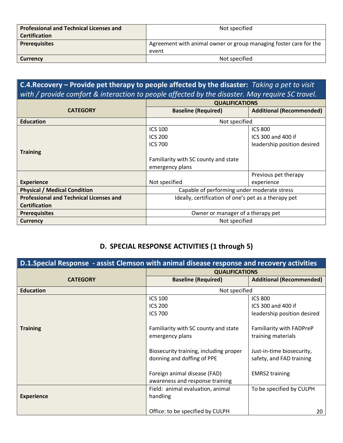| <b>Professional and Technical Licenses and</b><br><b>Certification</b> | Not specified                                                     |
|------------------------------------------------------------------------|-------------------------------------------------------------------|
| <b>Prerequisites</b>                                                   | Agreement with animal owner or group managing foster care for the |
|                                                                        | event                                                             |
| <b>Currency</b>                                                        | Not specified                                                     |

**C.4.Recovery – Provide pet therapy to people affected by the disaster:** *Taking a pet to visit with / provide comfort & interaction to people affected by the disaster. May require SC travel.*

|                                                | <b>QUALIFICATIONS</b>                                |                                 |
|------------------------------------------------|------------------------------------------------------|---------------------------------|
| <b>CATEGORY</b>                                | <b>Baseline (Required)</b>                           | <b>Additional (Recommended)</b> |
| <b>Education</b>                               | Not specified                                        |                                 |
|                                                | <b>ICS 100</b>                                       | <b>ICS 800</b>                  |
|                                                | <b>ICS 200</b>                                       | ICS 300 and 400 if              |
|                                                | <b>ICS 700</b>                                       | leadership position desired     |
| <b>Training</b>                                |                                                      |                                 |
|                                                | Familiarity with SC county and state                 |                                 |
|                                                | emergency plans                                      |                                 |
|                                                |                                                      | Previous pet therapy            |
| <b>Experience</b>                              | Not specified                                        | experience                      |
| <b>Physical / Medical Condition</b>            | Capable of performing under moderate stress          |                                 |
| <b>Professional and Technical Licenses and</b> | Ideally, certification of one's pet as a therapy pet |                                 |
| <b>Certification</b>                           |                                                      |                                 |
| <b>Prerequisites</b>                           | Owner or manager of a therapy pet                    |                                 |
| <b>Currency</b>                                | Not specified                                        |                                 |

### **D. SPECIAL RESPONSE ACTIVITIES (1 through 5)**

| <b>D.1.Special Response</b> - assist Clemson with animal disease response and recovery activities |                                                                      |                                                       |  |
|---------------------------------------------------------------------------------------------------|----------------------------------------------------------------------|-------------------------------------------------------|--|
|                                                                                                   |                                                                      | <b>QUALIFICATIONS</b>                                 |  |
| <b>CATEGORY</b>                                                                                   | <b>Baseline (Required)</b>                                           | <b>Additional (Recommended)</b>                       |  |
| <b>Education</b>                                                                                  | Not specified                                                        |                                                       |  |
|                                                                                                   | <b>ICS 100</b>                                                       | <b>ICS 800</b>                                        |  |
|                                                                                                   | <b>ICS 200</b>                                                       | ICS 300 and 400 if                                    |  |
|                                                                                                   | <b>ICS 700</b>                                                       | leadership position desired                           |  |
| <b>Training</b>                                                                                   | Familiarity with SC county and state<br>emergency plans              | Familiarity with FADPreP<br>training materials        |  |
|                                                                                                   | Biosecurity training, including proper<br>donning and doffing of PPE | Just-in-time biosecurity,<br>safety, and FAD training |  |
|                                                                                                   | Foreign animal disease (FAD)<br>awareness and response training      | <b>EMRS2 training</b>                                 |  |
| <b>Experience</b>                                                                                 | Field: animal evaluation, animal<br>handling                         | To be specified by CULPH                              |  |
|                                                                                                   | Office: to be specified by CULPH                                     | 20                                                    |  |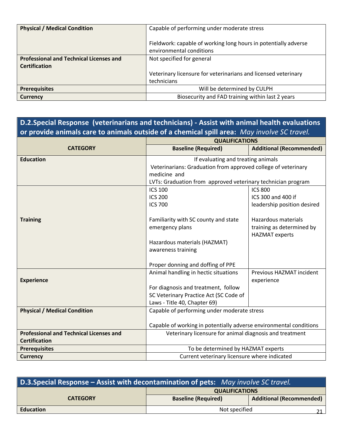| <b>Physical / Medical Condition</b>            | Capable of performing under moderate stress                                                 |
|------------------------------------------------|---------------------------------------------------------------------------------------------|
|                                                | Fieldwork: capable of working long hours in potentially adverse<br>environmental conditions |
| <b>Professional and Technical Licenses and</b> | Not specified for general                                                                   |
| <b>Certification</b>                           |                                                                                             |
|                                                | Veterinary licensure for veterinarians and licensed veterinary                              |
|                                                | technicians                                                                                 |
| <b>Prerequisites</b>                           | Will be determined by CULPH                                                                 |
| <b>Currency</b>                                | Biosecurity and FAD training within last 2 years                                            |

# **D.2.Special Response (veterinarians and technicians) - Assist with animal health evaluations or provide animals care to animals outside of a chemical spill area:** *May involve SC travel.*

|                                                | <b>QUALIFICATIONS</b>                                                                                                         |                                 |
|------------------------------------------------|-------------------------------------------------------------------------------------------------------------------------------|---------------------------------|
| <b>CATEGORY</b>                                | <b>Baseline (Required)</b>                                                                                                    | <b>Additional (Recommended)</b> |
| <b>Education</b>                               | If evaluating and treating animals                                                                                            |                                 |
|                                                | Veterinarians: Graduation from approved college of veterinary                                                                 |                                 |
|                                                | medicine and                                                                                                                  |                                 |
|                                                | LVTs: Graduation from approved veterinary technician program                                                                  |                                 |
|                                                | <b>ICS 100</b>                                                                                                                | <b>ICS 800</b>                  |
|                                                | <b>ICS 200</b>                                                                                                                | ICS 300 and 400 if              |
|                                                | <b>ICS 700</b>                                                                                                                | leadership position desired     |
|                                                |                                                                                                                               |                                 |
| <b>Training</b>                                | Familiarity with SC county and state                                                                                          | Hazardous materials             |
|                                                | emergency plans                                                                                                               | training as determined by       |
|                                                |                                                                                                                               | <b>HAZMAT</b> experts           |
|                                                | Hazardous materials (HAZMAT)                                                                                                  |                                 |
|                                                | awareness training                                                                                                            |                                 |
|                                                |                                                                                                                               |                                 |
|                                                | Proper donning and doffing of PPE                                                                                             |                                 |
|                                                | Animal handling in hectic situations                                                                                          | Previous HAZMAT incident        |
| <b>Experience</b>                              |                                                                                                                               | experience                      |
|                                                | For diagnosis and treatment, follow                                                                                           |                                 |
|                                                | SC Veterinary Practice Act (SC Code of                                                                                        |                                 |
|                                                | Laws - Title 40, Chapter 69)                                                                                                  |                                 |
| <b>Physical / Medical Condition</b>            | Capable of performing under moderate stress                                                                                   |                                 |
|                                                |                                                                                                                               |                                 |
| <b>Professional and Technical Licenses and</b> | Capable of working in potentially adverse environmental conditions<br>Veterinary licensure for animal diagnosis and treatment |                                 |
| <b>Certification</b>                           |                                                                                                                               |                                 |
| <b>Prerequisites</b>                           | To be determined by HAZMAT experts                                                                                            |                                 |
| <b>Currency</b>                                | Current veterinary licensure where indicated                                                                                  |                                 |

| D.3. Special Response – Assist with decontamination of pets: May involve SC travel. |                            |                                 |
|-------------------------------------------------------------------------------------|----------------------------|---------------------------------|
|                                                                                     | <b>QUALIFICATIONS</b>      |                                 |
| <b>CATEGORY</b>                                                                     | <b>Baseline (Required)</b> | <b>Additional (Recommended)</b> |
| <b>Education</b>                                                                    | Not specified              |                                 |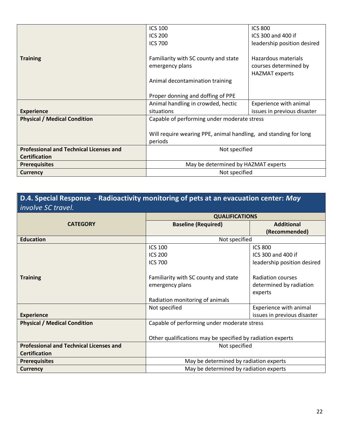|                                                | <b>ICS 100</b>                                                   | <b>ICS 800</b>              |
|------------------------------------------------|------------------------------------------------------------------|-----------------------------|
|                                                | <b>ICS 200</b>                                                   | ICS 300 and 400 if          |
|                                                | <b>ICS 700</b>                                                   | leadership position desired |
|                                                |                                                                  |                             |
| <b>Training</b>                                | Familiarity with SC county and state                             | Hazardous materials         |
|                                                | emergency plans                                                  | courses determined by       |
|                                                |                                                                  | <b>HAZMAT</b> experts       |
|                                                | Animal decontamination training                                  |                             |
|                                                |                                                                  |                             |
|                                                | Proper donning and doffing of PPE                                |                             |
|                                                | Animal handling in crowded, hectic                               | Experience with animal      |
| <b>Experience</b>                              | situations                                                       | issues in previous disaster |
| <b>Physical / Medical Condition</b>            | Capable of performing under moderate stress                      |                             |
|                                                |                                                                  |                             |
|                                                | Will require wearing PPE, animal handling, and standing for long |                             |
|                                                | periods                                                          |                             |
| <b>Professional and Technical Licenses and</b> | Not specified                                                    |                             |
| <b>Certification</b>                           |                                                                  |                             |
| <b>Prerequisites</b>                           | May be determined by HAZMAT experts                              |                             |
| <b>Currency</b>                                | Not specified                                                    |                             |

# **D.4. Special Response - Radioactivity monitoring of pets at an evacuation center:** *May involve SC travel.*

|                                                | <b>QUALIFICATIONS</b>                                      |                             |
|------------------------------------------------|------------------------------------------------------------|-----------------------------|
| <b>CATEGORY</b>                                | <b>Baseline (Required)</b>                                 | <b>Additional</b>           |
|                                                |                                                            | (Recommended)               |
| <b>Education</b>                               | Not specified                                              |                             |
|                                                | <b>ICS 100</b>                                             | <b>ICS 800</b>              |
|                                                | <b>ICS 200</b>                                             | ICS 300 and 400 if          |
|                                                | <b>ICS 700</b>                                             | leadership position desired |
|                                                |                                                            |                             |
| <b>Training</b>                                | Familiarity with SC county and state                       | Radiation courses           |
|                                                | emergency plans                                            | determined by radiation     |
|                                                |                                                            | experts                     |
|                                                | Radiation monitoring of animals                            |                             |
|                                                | Not specified                                              | Experience with animal      |
| <b>Experience</b>                              |                                                            | issues in previous disaster |
| <b>Physical / Medical Condition</b>            | Capable of performing under moderate stress                |                             |
|                                                |                                                            |                             |
|                                                | Other qualifications may be specified by radiation experts |                             |
| <b>Professional and Technical Licenses and</b> | Not specified                                              |                             |
| <b>Certification</b>                           |                                                            |                             |
| <b>Prerequisites</b>                           | May be determined by radiation experts                     |                             |
| <b>Currency</b>                                | May be determined by radiation experts                     |                             |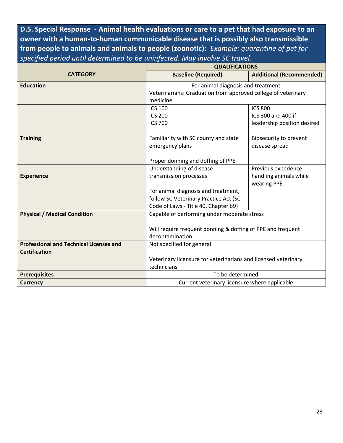**D.5. Special Response - Animal health evaluations or care to a pet that had exposure to an owner with a human-to-human communicable disease that is possibly also transmissible from people to animals and animals to people (zoonotic):** *Example: quarantine of pet for specified period until determined to be uninfected. May involve SC travel.*

|                                                | <b>QUALIFICATIONS</b>                                          |                                 |
|------------------------------------------------|----------------------------------------------------------------|---------------------------------|
| <b>CATEGORY</b>                                | <b>Baseline (Required)</b>                                     | <b>Additional (Recommended)</b> |
| <b>Education</b>                               | For animal diagnosis and treatment                             |                                 |
|                                                | Veterinarians: Graduation from approved college of veterinary  |                                 |
|                                                | medicine                                                       |                                 |
|                                                | <b>ICS 100</b>                                                 | <b>ICS 800</b>                  |
|                                                | <b>ICS 200</b>                                                 | ICS 300 and 400 if              |
|                                                | <b>ICS 700</b>                                                 | leadership position desired     |
|                                                |                                                                |                                 |
| <b>Training</b>                                | Familiarity with SC county and state                           | Biosecurity to prevent          |
|                                                | emergency plans                                                | disease spread                  |
|                                                |                                                                |                                 |
|                                                | Proper donning and doffing of PPE                              |                                 |
|                                                | Understanding of disease                                       | Previous experience             |
| <b>Experience</b>                              | transmission processes                                         | handling animals while          |
|                                                |                                                                | wearing PPE                     |
|                                                | For animal diagnosis and treatment,                            |                                 |
|                                                | follow SC Veterinary Practice Act (SC                          |                                 |
|                                                | Code of Laws - Title 40, Chapter 69)                           |                                 |
| <b>Physical / Medical Condition</b>            | Capable of performing under moderate stress                    |                                 |
|                                                |                                                                |                                 |
|                                                | Will require frequent donning & doffing of PPE and frequent    |                                 |
|                                                | decontamination                                                |                                 |
| <b>Professional and Technical Licenses and</b> | Not specified for general                                      |                                 |
| <b>Certification</b>                           |                                                                |                                 |
|                                                | Veterinary licensure for veterinarians and licensed veterinary |                                 |
|                                                | technicians                                                    |                                 |
| <b>Prerequisites</b>                           | To be determined                                               |                                 |
| <b>Currency</b>                                | Current veterinary licensure where applicable                  |                                 |